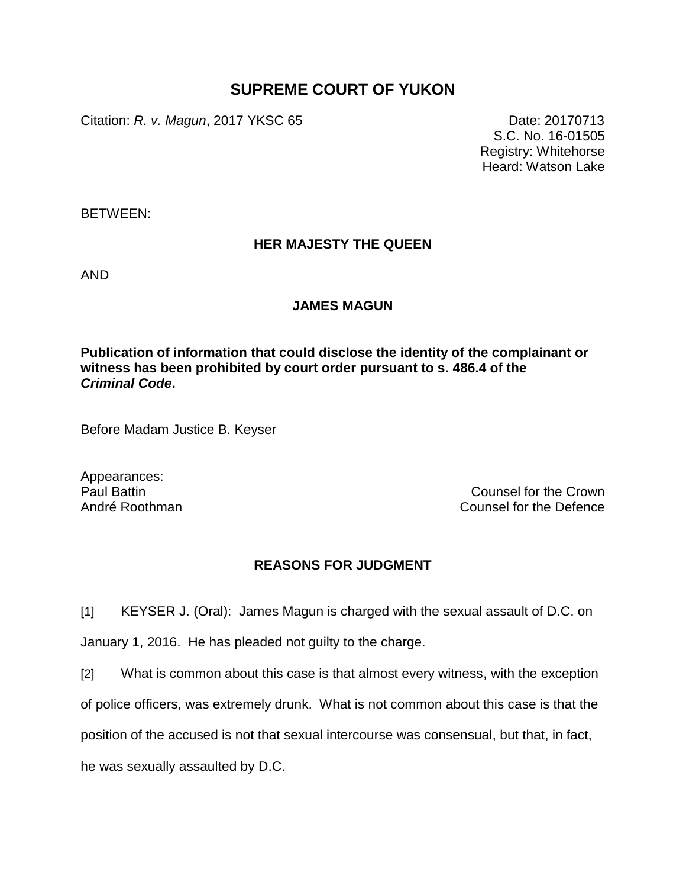## **SUPREME COURT OF YUKON**

Citation: *R. v. Magun*, 2017 YKSC 65 Date: 20170713

S.C. No. 16-01505 Registry: Whitehorse Heard: Watson Lake

BETWEEN:

## **HER MAJESTY THE QUEEN**

AND

## **JAMES MAGUN**

**Publication of information that could disclose the identity of the complainant or witness has been prohibited by court order pursuant to s. 486.4 of the**  *Criminal Code***.**

Before Madam Justice B. Keyser

Appearances:

Paul Battin Counsel for the Crown André Roothman Counsel for the Defence

## **REASONS FOR JUDGMENT**

[1] KEYSER J. (Oral): James Magun is charged with the sexual assault of D.C. on

January 1, 2016. He has pleaded not guilty to the charge.

[2] What is common about this case is that almost every witness, with the exception of police officers, was extremely drunk. What is not common about this case is that the position of the accused is not that sexual intercourse was consensual, but that, in fact,

he was sexually assaulted by D.C.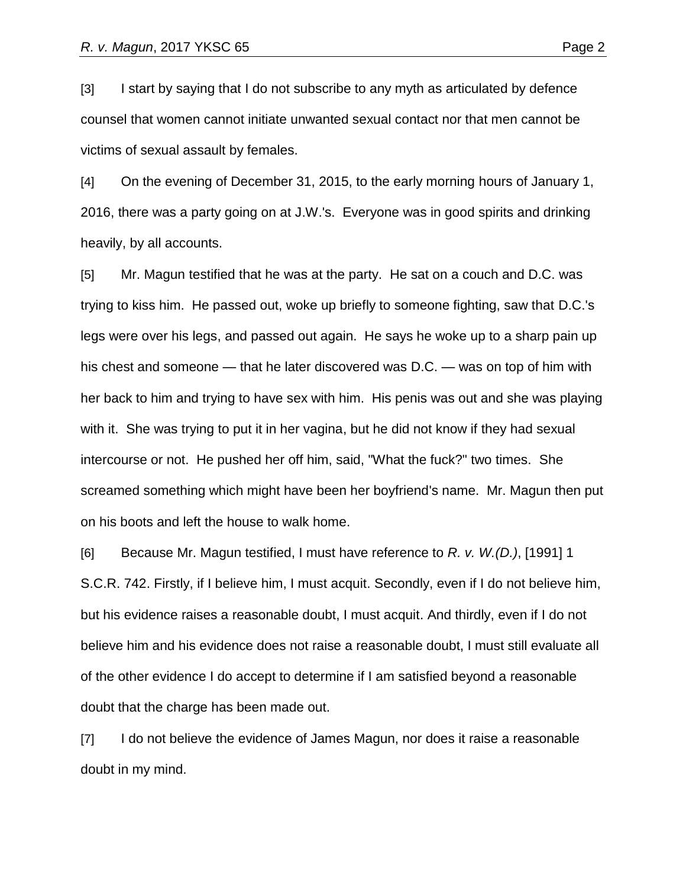[3] I start by saying that I do not subscribe to any myth as articulated by defence counsel that women cannot initiate unwanted sexual contact nor that men cannot be victims of sexual assault by females.

[4] On the evening of December 31, 2015, to the early morning hours of January 1, 2016, there was a party going on at J.W.'s. Everyone was in good spirits and drinking heavily, by all accounts.

[5] Mr. Magun testified that he was at the party. He sat on a couch and D.C. was trying to kiss him. He passed out, woke up briefly to someone fighting, saw that D.C.'s legs were over his legs, and passed out again. He says he woke up to a sharp pain up his chest and someone — that he later discovered was D.C. — was on top of him with her back to him and trying to have sex with him. His penis was out and she was playing with it. She was trying to put it in her vagina, but he did not know if they had sexual intercourse or not. He pushed her off him, said, "What the fuck?" two times. She screamed something which might have been her boyfriend's name. Mr. Magun then put on his boots and left the house to walk home.

[6] Because Mr. Magun testified, I must have reference to *R. v. W.(D.)*, [1991] 1 S.C.R. 742. Firstly, if I believe him, I must acquit. Secondly, even if I do not believe him, but his evidence raises a reasonable doubt, I must acquit. And thirdly, even if I do not believe him and his evidence does not raise a reasonable doubt, I must still evaluate all of the other evidence I do accept to determine if I am satisfied beyond a reasonable doubt that the charge has been made out.

[7] I do not believe the evidence of James Magun, nor does it raise a reasonable doubt in my mind.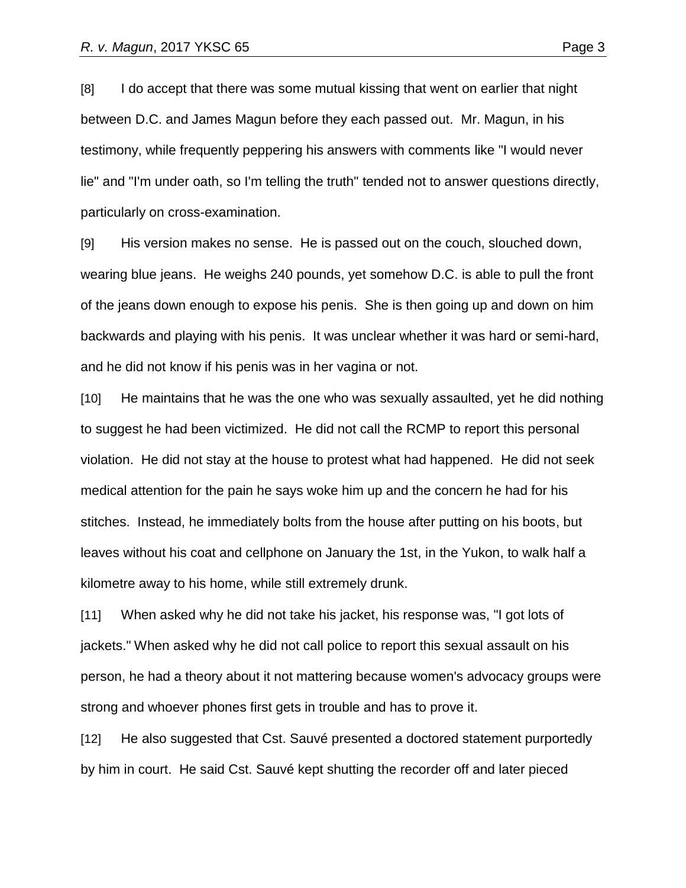[8] I do accept that there was some mutual kissing that went on earlier that night between D.C. and James Magun before they each passed out. Mr. Magun, in his testimony, while frequently peppering his answers with comments like "I would never lie" and "I'm under oath, so I'm telling the truth" tended not to answer questions directly, particularly on cross-examination.

[9] His version makes no sense. He is passed out on the couch, slouched down, wearing blue jeans. He weighs 240 pounds, yet somehow D.C. is able to pull the front of the jeans down enough to expose his penis. She is then going up and down on him backwards and playing with his penis. It was unclear whether it was hard or semi-hard, and he did not know if his penis was in her vagina or not.

[10] He maintains that he was the one who was sexually assaulted, yet he did nothing to suggest he had been victimized. He did not call the RCMP to report this personal violation. He did not stay at the house to protest what had happened. He did not seek medical attention for the pain he says woke him up and the concern he had for his stitches. Instead, he immediately bolts from the house after putting on his boots, but leaves without his coat and cellphone on January the 1st, in the Yukon, to walk half a kilometre away to his home, while still extremely drunk.

[11] When asked why he did not take his jacket, his response was, "I got lots of jackets." When asked why he did not call police to report this sexual assault on his person, he had a theory about it not mattering because women's advocacy groups were strong and whoever phones first gets in trouble and has to prove it.

[12] He also suggested that Cst. Sauvé presented a doctored statement purportedly by him in court. He said Cst. Sauvé kept shutting the recorder off and later pieced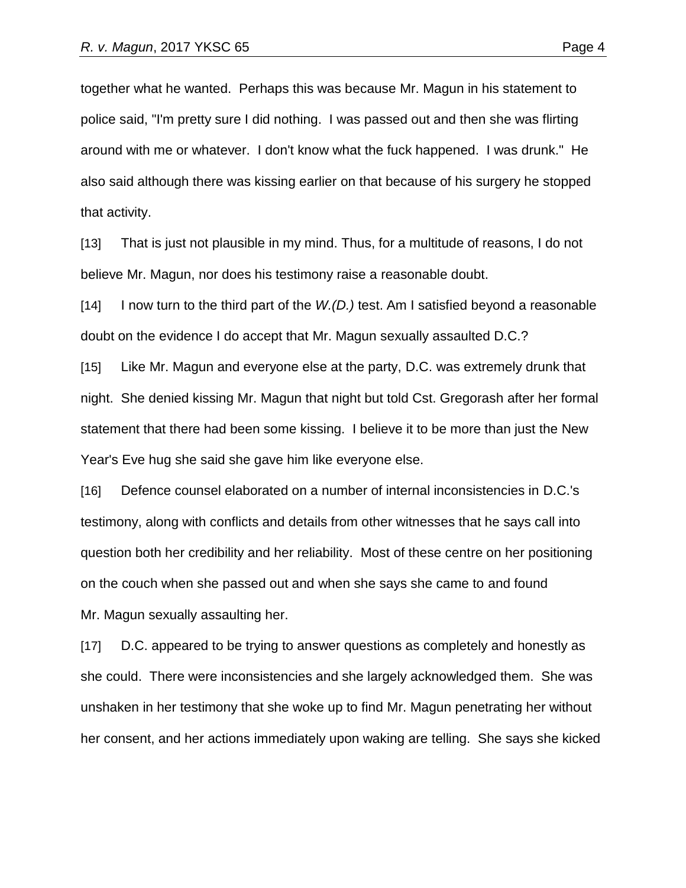together what he wanted. Perhaps this was because Mr. Magun in his statement to police said, "I'm pretty sure I did nothing. I was passed out and then she was flirting around with me or whatever. I don't know what the fuck happened. I was drunk." He also said although there was kissing earlier on that because of his surgery he stopped that activity.

[13] That is just not plausible in my mind. Thus, for a multitude of reasons, I do not believe Mr. Magun, nor does his testimony raise a reasonable doubt.

[14] I now turn to the third part of the *W.(D.)* test. Am I satisfied beyond a reasonable doubt on the evidence I do accept that Mr. Magun sexually assaulted D.C.?

[15] Like Mr. Magun and everyone else at the party, D.C. was extremely drunk that night. She denied kissing Mr. Magun that night but told Cst. Gregorash after her formal statement that there had been some kissing. I believe it to be more than just the New Year's Eve hug she said she gave him like everyone else.

[16] Defence counsel elaborated on a number of internal inconsistencies in D.C.'s testimony, along with conflicts and details from other witnesses that he says call into question both her credibility and her reliability. Most of these centre on her positioning on the couch when she passed out and when she says she came to and found Mr. Magun sexually assaulting her.

[17] D.C. appeared to be trying to answer questions as completely and honestly as she could. There were inconsistencies and she largely acknowledged them. She was unshaken in her testimony that she woke up to find Mr. Magun penetrating her without her consent, and her actions immediately upon waking are telling. She says she kicked